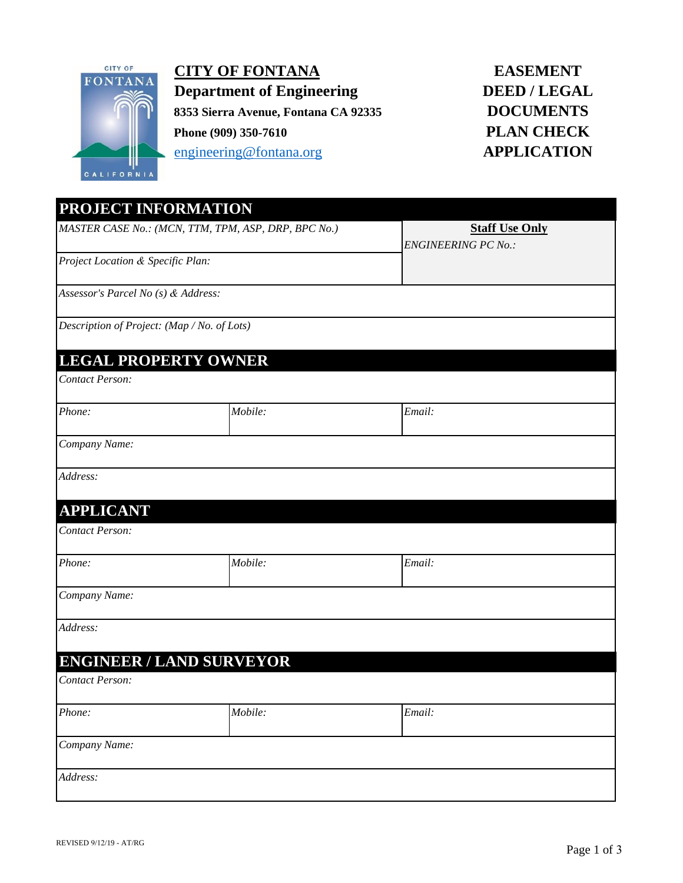

**CITY OF FONTANA Department of Engineering 8353 Sierra Avenue, Fontana CA 92335 Phone (909) 350-7610** engineering@fontana.org **APPLICATION**

# **EASEMENT DEED / LEGAL DOCUMENTS PLAN CHECK**

| PROJECT INFORMATION                                 |         |                            |
|-----------------------------------------------------|---------|----------------------------|
| MASTER CASE No.: (MCN, TTM, TPM, ASP, DRP, BPC No.) |         | <b>Staff Use Only</b>      |
| Project Location & Specific Plan:                   |         | <b>ENGINEERING PC No.:</b> |
| Assessor's Parcel No (s) & Address:                 |         |                            |
| Description of Project: (Map / No. of Lots)         |         |                            |
| <b>LEGAL PROPERTY OWNER</b>                         |         |                            |
| <b>Contact Person:</b>                              |         |                            |
| Phone:                                              | Mobile: | Email:                     |
| Company Name:                                       |         |                            |
| Address:                                            |         |                            |
| <b>APPLICANT</b>                                    |         |                            |
| <b>Contact Person:</b>                              |         |                            |
| Phone:                                              | Mobile: | Email:                     |
| Company Name:                                       |         |                            |
| Address:                                            |         |                            |
| <b>ENGINEER / LAND SURVEYOR</b>                     |         |                            |
| Contact Person:                                     |         |                            |
| Phone:                                              | Mobile: | Email:                     |
| Company Name:                                       |         |                            |
| Address:                                            |         |                            |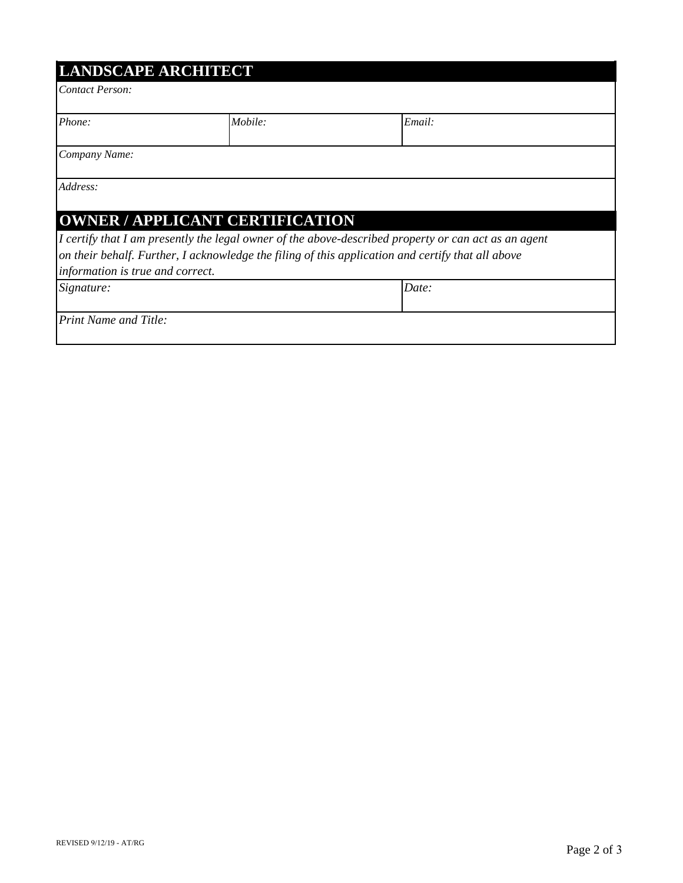| <b>LANDSCAPE ARCHITECT</b> |  |
|----------------------------|--|
|                            |  |

*Contact Person:*

| Phone: | <i>Mobile:</i> | $\mathbf{r}$<br>Email: |
|--------|----------------|------------------------|

*Company Name:*

*Address:*

## **OWNER / APPLICANT CERTIFICATION**

*I certify that I am presently the legal owner of the above-described property or can act as an agent on their behalf. Further, I acknowledge the filing of this application and certify that all above information is true and correct.*

*Signature: Date:*

*Print Name and Title:*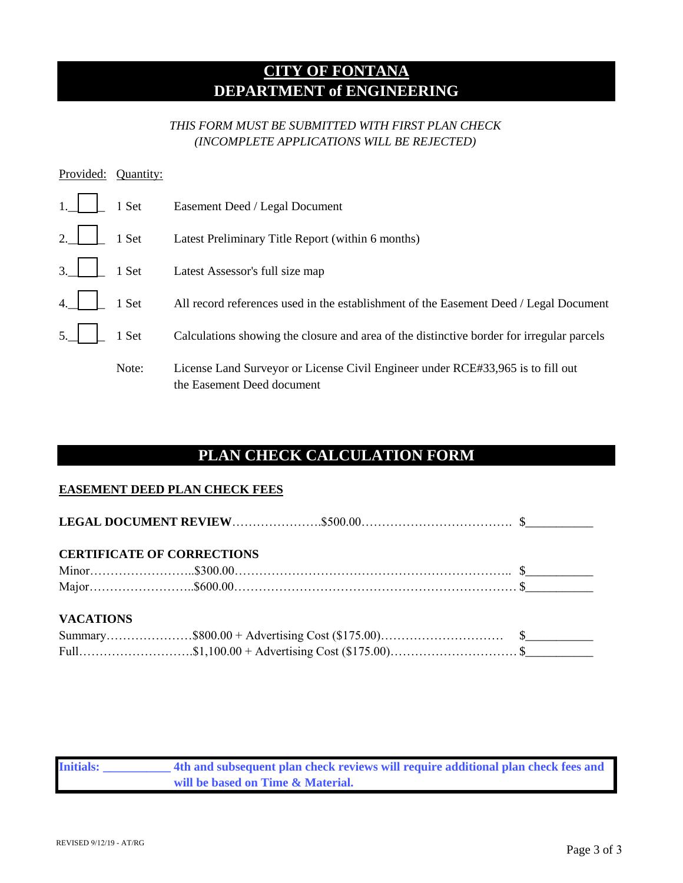# **CITY OF FONTANA DEPARTMENT of ENGINEERING**

### *THIS FORM MUST BE SUBMITTED WITH FIRST PLAN CHECK (INCOMPLETE APPLICATIONS WILL BE REJECTED)*

| Provided:               | Quantity: |                                                                                                               |
|-------------------------|-----------|---------------------------------------------------------------------------------------------------------------|
|                         | 1 Set     | Easement Deed / Legal Document                                                                                |
| 2.                      | 1 Set     | Latest Preliminary Title Report (within 6 months)                                                             |
| 3.                      | 1 Set     | Latest Assessor's full size map                                                                               |
| $\overline{4}$          | 1 Set     | All record references used in the establishment of the Easement Deed / Legal Document                         |
| $\overline{\mathbf{5}}$ | 1 Set     | Calculations showing the closure and area of the distinctive border for irregular parcels                     |
|                         | Note:     | License Land Surveyor or License Civil Engineer under RCE#33,965 is to fill out<br>the Easement Deed document |

# **PLAN CHECK CALCULATION FORM**

#### **EASEMENT DEED PLAN CHECK FEES**

| <b>CERTIFICATE OF CORRECTIONS</b> |  |
|-----------------------------------|--|
|                                   |  |
|                                   |  |
| <b>VACATIONS</b>                  |  |
|                                   |  |
|                                   |  |

| <b>Initials:</b> | 4th and subsequent plan check reviews will require additional plan check fees and |
|------------------|-----------------------------------------------------------------------------------|
|                  | will be based on Time & Material.                                                 |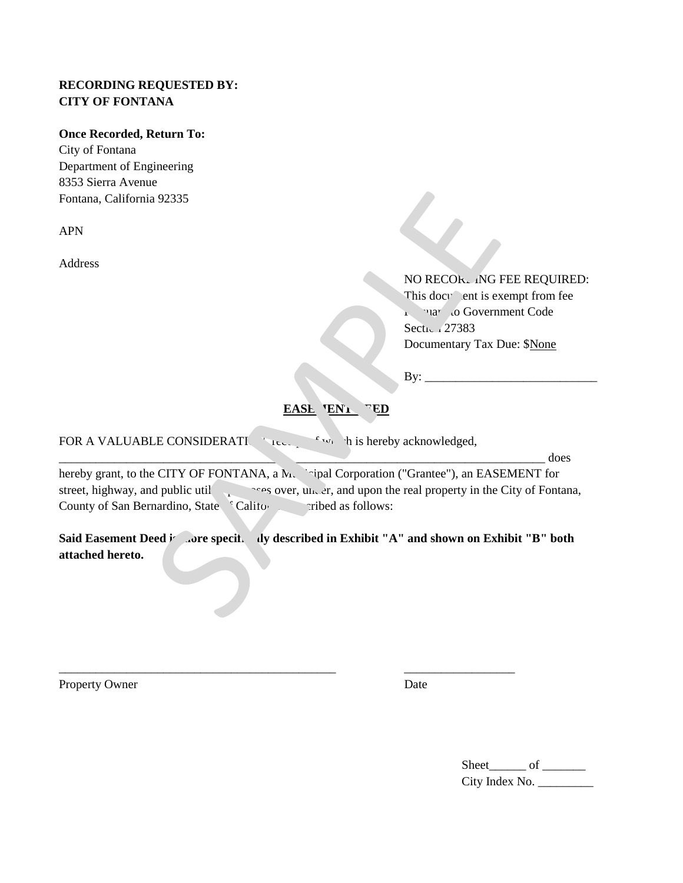#### **RECORDING REQUESTED BY: CITY OF FONTANA**

#### **Once Recorded, Return To:**

City of Fontana Department of Engineering 8353 Sierra Avenue Fontana, California 92335

APN

Address

Section 27383 Documentary Tax Due: \$None NO RECORL ING FEE REQUIRED: This docy lent is exempt from fee **Pursuant To Government Code** 

 $\mathbf{B} \mathbf{y}$ :

**EASE ENL FED** 

FOR A VALUABLE CONSIDERATION, recently  $\mathbf{r}$  which is hereby acknowledged,

 $\frac{1}{2}$  does hereby grant, to the CITY OF FONTANA, a Municipal Corporation ("Grantee"), an EASEMENT for street, highway, and public util purposes over, under, and upon the real property in the City of Fontana, County of San Bernardino, State <sup>c</sup>California described as follows:

Said Easement Deed *i* ... ore specifically described in Exhibit "A" and shown on Exhibit "B" both **attached hereto.**

\_\_\_\_\_\_\_\_\_\_\_\_\_\_\_\_\_\_\_\_\_\_\_\_\_\_\_\_\_\_\_\_\_\_\_\_\_\_\_\_\_\_\_\_\_ \_\_\_\_\_\_\_\_\_\_\_\_\_\_\_\_\_\_

Property Owner

Date

Sheet\_\_\_\_\_\_ of \_\_\_\_\_\_\_ City Index No. \_\_\_\_\_\_\_\_\_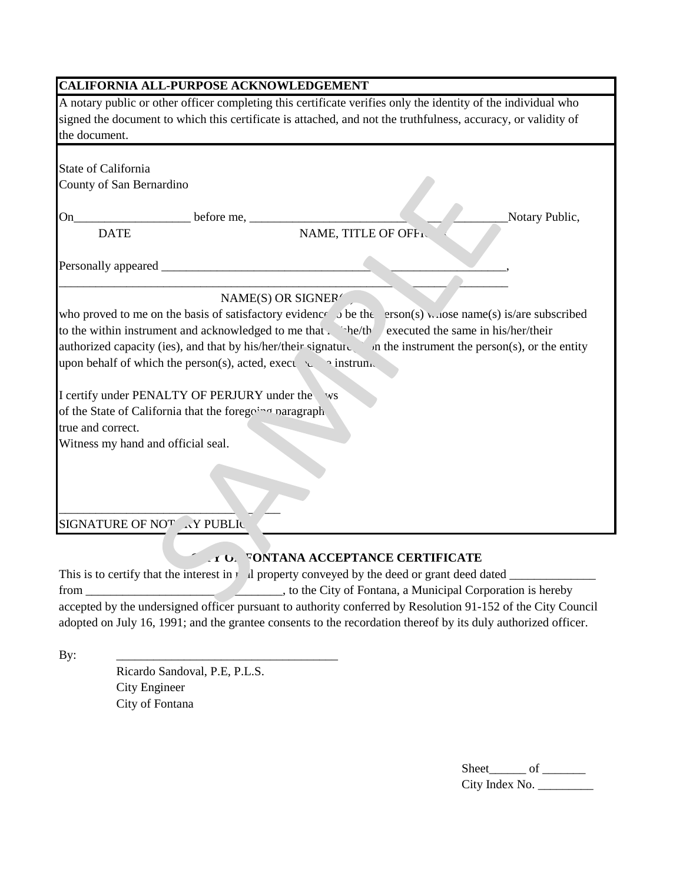| <b>CALIFORNIA ALL-PURPOSE ACKNOWLEDGEMENT</b>                                                                                                                                                      |                                                                                                                                                                                                                                |                |
|----------------------------------------------------------------------------------------------------------------------------------------------------------------------------------------------------|--------------------------------------------------------------------------------------------------------------------------------------------------------------------------------------------------------------------------------|----------------|
| the document.                                                                                                                                                                                      | A notary public or other officer completing this certificate verifies only the identity of the individual who<br>signed the document to which this certificate is attached, and not the truthfulness, accuracy, or validity of |                |
| <b>State of California</b>                                                                                                                                                                         |                                                                                                                                                                                                                                |                |
| County of San Bernardino                                                                                                                                                                           |                                                                                                                                                                                                                                |                |
| On                                                                                                                                                                                                 |                                                                                                                                                                                                                                | Notary Public, |
| <b>DATE</b>                                                                                                                                                                                        | NAME, TITLE OF OFFIC                                                                                                                                                                                                           |                |
| Personally appeared                                                                                                                                                                                |                                                                                                                                                                                                                                |                |
|                                                                                                                                                                                                    | NAME(S) OR SIGNER                                                                                                                                                                                                              |                |
| to the within instrument and acknowledged to me that . he/th<br>authorized capacity (ies), and that by his/her/their signature<br>upon behalf of which the person(s), acted, exect $\sim$ instrum. | who proved to me on the basis of satisfactory evidence $\lambda$ be the erson(s) whose name(s) is/are subscribed<br>executed the same in his/her/their<br>In the instrument the person(s), or the entity                       |                |
| I certify under PENALTY OF PERJURY under the                                                                                                                                                       | <b>WS</b>                                                                                                                                                                                                                      |                |
| of the State of California that the foregoing paragraph<br>true and correct.                                                                                                                       |                                                                                                                                                                                                                                |                |
| Witness my hand and official seal.                                                                                                                                                                 |                                                                                                                                                                                                                                |                |
| SIGNATURE OF NOT AY PUBLIC                                                                                                                                                                         |                                                                                                                                                                                                                                |                |

### **CITY OF FONTANA ACCEPTANCE CERTIFICATE**

This is to certify that the interest in real property conveyed by the deed or grant deed dated \_\_\_\_\_\_\_\_\_\_\_\_\_\_ from \_\_\_\_\_\_\_\_\_\_\_\_\_\_\_\_\_\_\_\_\_\_\_\_\_\_\_\_\_\_\_\_, to the City of Fontana, a Municipal Corporation is hereby accepted by the undersigned officer pursuant to authority conferred by Resolution 91-152 of the City Council adopted on July 16, 1991; and the grantee consents to the recordation thereof by its duly authorized officer.

By:

Ricardo Sandoval, P.E, P.L.S. City Engineer City of Fontana

\_\_\_\_\_\_\_\_\_\_\_\_\_\_\_\_\_\_\_\_\_\_\_\_\_\_\_\_\_\_\_\_\_\_\_\_

Sheet\_\_\_\_\_\_ of \_\_\_\_\_\_ City Index No. \_\_\_\_\_\_\_\_\_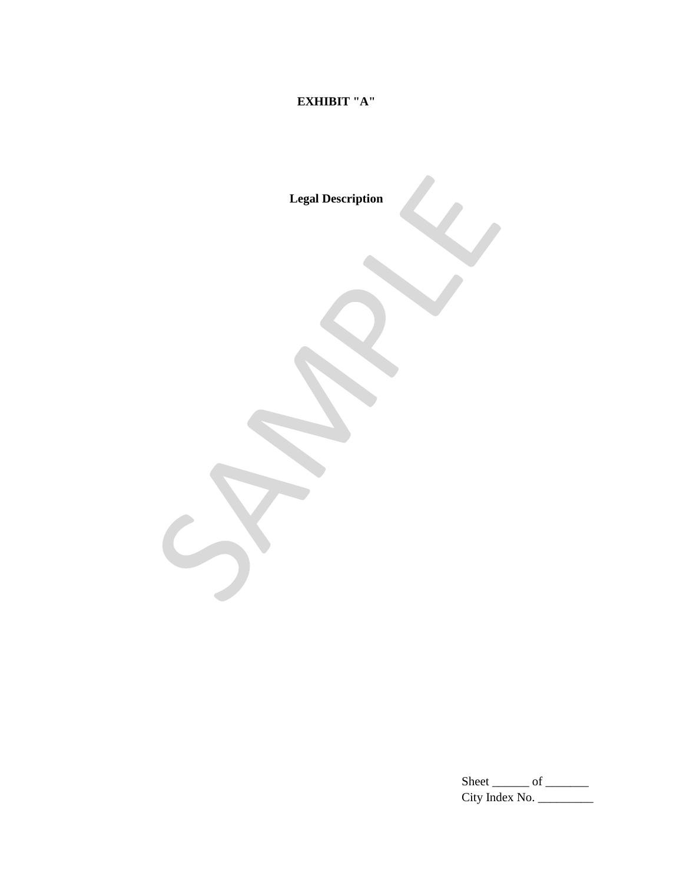### **EXHIBIT "A"**

**Legal Description**

Sheet  $\rule{1em}{0.15mm}$  of  $\rule{1em}{0.15mm}$ City Index No. \_\_\_\_\_\_\_\_\_